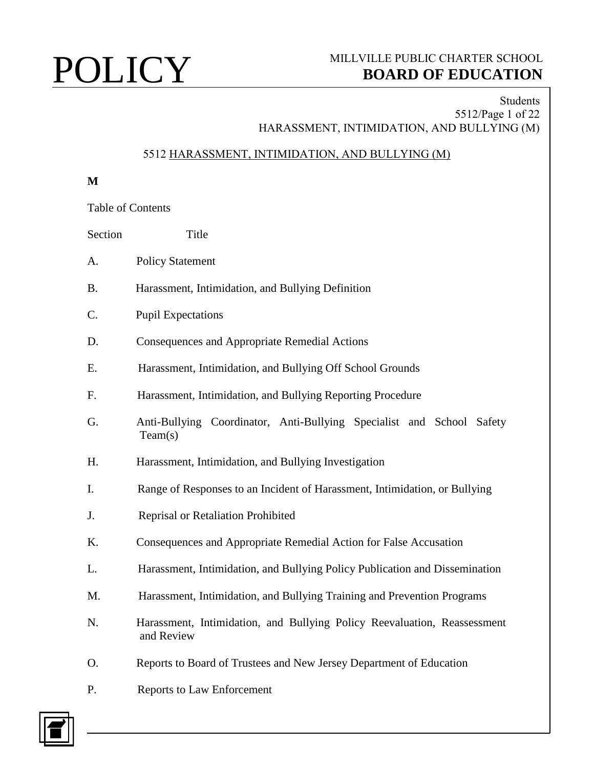## Students 5512/Page 1 of 22 HARASSMENT, INTIMIDATION, AND BULLYING (M)

## 5512 HARASSMENT, INTIMIDATION, AND BULLYING (M)

**M**

Table of Contents

| Section | Title                                                                                  |
|---------|----------------------------------------------------------------------------------------|
| A.      | <b>Policy Statement</b>                                                                |
| B.      | Harassment, Intimidation, and Bullying Definition                                      |
| C.      | <b>Pupil Expectations</b>                                                              |
| D.      | <b>Consequences and Appropriate Remedial Actions</b>                                   |
| Е.      | Harassment, Intimidation, and Bullying Off School Grounds                              |
| F.      | Harassment, Intimidation, and Bullying Reporting Procedure                             |
| G.      | Anti-Bullying Coordinator, Anti-Bullying Specialist and School Safety<br>Team(s)       |
| Н.      | Harassment, Intimidation, and Bullying Investigation                                   |
| I.      | Range of Responses to an Incident of Harassment, Intimidation, or Bullying             |
| J.      | Reprisal or Retaliation Prohibited                                                     |
| K.      | Consequences and Appropriate Remedial Action for False Accusation                      |
| L.      | Harassment, Intimidation, and Bullying Policy Publication and Dissemination            |
| M.      | Harassment, Intimidation, and Bullying Training and Prevention Programs                |
| N.      | Harassment, Intimidation, and Bullying Policy Reevaluation, Reassessment<br>and Review |
| O.      | Reports to Board of Trustees and New Jersey Department of Education                    |
|         |                                                                                        |

P. Reports to Law Enforcement

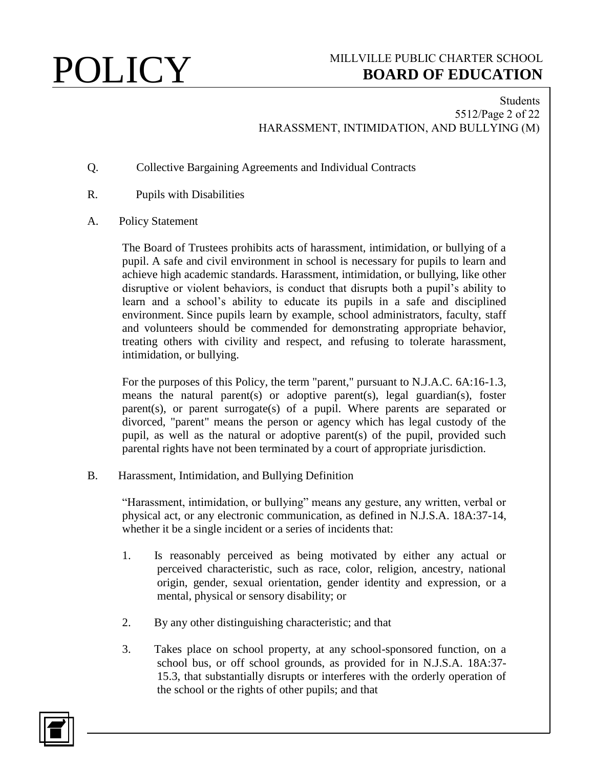## Students 5512/Page 2 of 22 HARASSMENT, INTIMIDATION, AND BULLYING (M)

- Q. Collective Bargaining Agreements and Individual Contracts
- R. Pupils with Disabilities
- A. Policy Statement

The Board of Trustees prohibits acts of harassment, intimidation, or bullying of a pupil. A safe and civil environment in school is necessary for pupils to learn and achieve high academic standards. Harassment, intimidation, or bullying, like other disruptive or violent behaviors, is conduct that disrupts both a pupil's ability to learn and a school's ability to educate its pupils in a safe and disciplined environment. Since pupils learn by example, school administrators, faculty, staff and volunteers should be commended for demonstrating appropriate behavior, treating others with civility and respect, and refusing to tolerate harassment, intimidation, or bullying.

For the purposes of this Policy, the term "parent," pursuant to N.J.A.C. 6A:16-1.3, means the natural parent(s) or adoptive parent(s), legal guardian(s), foster parent(s), or parent surrogate(s) of a pupil. Where parents are separated or divorced, "parent" means the person or agency which has legal custody of the pupil, as well as the natural or adoptive parent(s) of the pupil, provided such parental rights have not been terminated by a court of appropriate jurisdiction.

B. Harassment, Intimidation, and Bullying Definition

"Harassment, intimidation, or bullying" means any gesture, any written, verbal or physical act, or any electronic communication, as defined in N.J.S.A. 18A:37-14, whether it be a single incident or a series of incidents that:

- 1. Is reasonably perceived as being motivated by either any actual or perceived characteristic, such as race, color, religion, ancestry, national origin, gender, sexual orientation, gender identity and expression, or a mental, physical or sensory disability; or
- 2. By any other distinguishing characteristic; and that
- 3. Takes place on school property, at any school-sponsored function, on a school bus, or off school grounds, as provided for in N.J.S.A. 18A:37- 15.3, that substantially disrupts or interferes with the orderly operation of the school or the rights of other pupils; and that

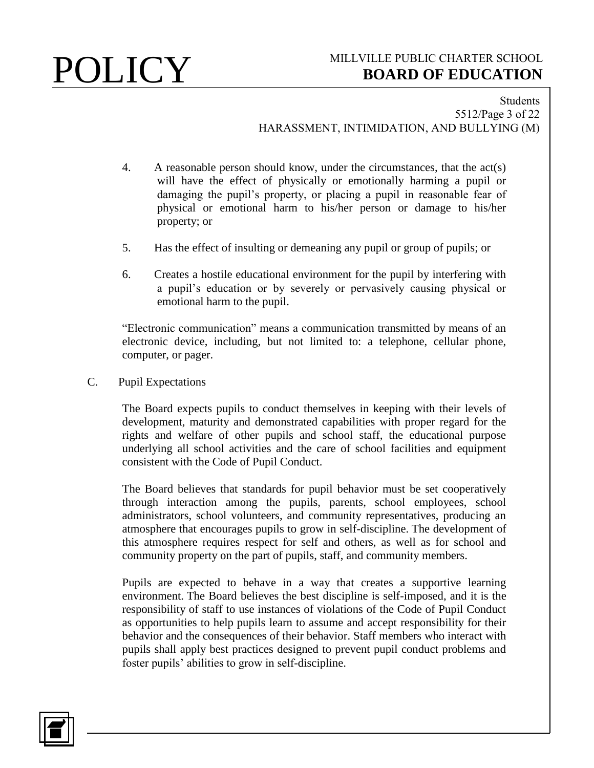### Students 5512/Page 3 of 22 HARASSMENT, INTIMIDATION, AND BULLYING (M)

- 4. A reasonable person should know, under the circumstances, that the act(s) will have the effect of physically or emotionally harming a pupil or damaging the pupil's property, or placing a pupil in reasonable fear of physical or emotional harm to his/her person or damage to his/her property; or
- 5. Has the effect of insulting or demeaning any pupil or group of pupils; or
- 6. Creates a hostile educational environment for the pupil by interfering with a pupil's education or by severely or pervasively causing physical or emotional harm to the pupil.

"Electronic communication" means a communication transmitted by means of an electronic device, including, but not limited to: a telephone, cellular phone, computer, or pager.

C. Pupil Expectations

The Board expects pupils to conduct themselves in keeping with their levels of development, maturity and demonstrated capabilities with proper regard for the rights and welfare of other pupils and school staff, the educational purpose underlying all school activities and the care of school facilities and equipment consistent with the Code of Pupil Conduct.

The Board believes that standards for pupil behavior must be set cooperatively through interaction among the pupils, parents, school employees, school administrators, school volunteers, and community representatives, producing an atmosphere that encourages pupils to grow in self-discipline. The development of this atmosphere requires respect for self and others, as well as for school and community property on the part of pupils, staff, and community members.

Pupils are expected to behave in a way that creates a supportive learning environment. The Board believes the best discipline is self-imposed, and it is the responsibility of staff to use instances of violations of the Code of Pupil Conduct as opportunities to help pupils learn to assume and accept responsibility for their behavior and the consequences of their behavior. Staff members who interact with pupils shall apply best practices designed to prevent pupil conduct problems and foster pupils' abilities to grow in self-discipline.

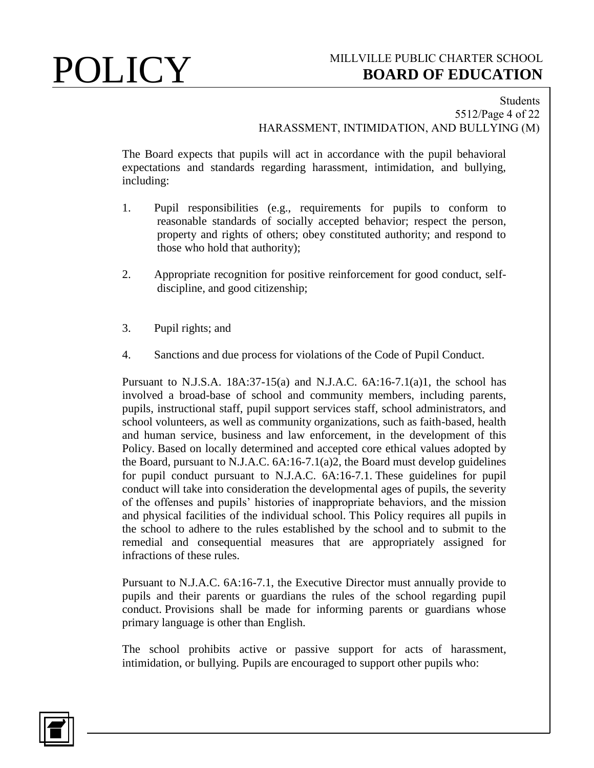### Students 5512/Page 4 of 22 HARASSMENT, INTIMIDATION, AND BULLYING (M)

The Board expects that pupils will act in accordance with the pupil behavioral expectations and standards regarding harassment, intimidation, and bullying, including:

- 1. Pupil responsibilities (e.g., requirements for pupils to conform to reasonable standards of socially accepted behavior; respect the person, property and rights of others; obey constituted authority; and respond to those who hold that authority);
- 2. Appropriate recognition for positive reinforcement for good conduct, selfdiscipline, and good citizenship;
- 3. Pupil rights; and
- 4. Sanctions and due process for violations of the Code of Pupil Conduct.

Pursuant to N.J.S.A.  $18A:37-15(a)$  and N.J.A.C.  $6A:16-7.1(a)1$ , the school has involved a broad-base of school and community members, including parents, pupils, instructional staff, pupil support services staff, school administrators, and school volunteers, as well as community organizations, such as faith-based, health and human service, business and law enforcement, in the development of this Policy. Based on locally determined and accepted core ethical values adopted by the Board, pursuant to N.J.A.C. 6A:16-7.1(a)2, the Board must develop guidelines for pupil conduct pursuant to N.J.A.C. 6A:16-7.1. These guidelines for pupil conduct will take into consideration the developmental ages of pupils, the severity of the offenses and pupils' histories of inappropriate behaviors, and the mission and physical facilities of the individual school. This Policy requires all pupils in the school to adhere to the rules established by the school and to submit to the remedial and consequential measures that are appropriately assigned for infractions of these rules.

Pursuant to N.J.A.C. 6A:16-7.1, the Executive Director must annually provide to pupils and their parents or guardians the rules of the school regarding pupil conduct. Provisions shall be made for informing parents or guardians whose primary language is other than English.

The school prohibits active or passive support for acts of harassment, intimidation, or bullying. Pupils are encouraged to support other pupils who:

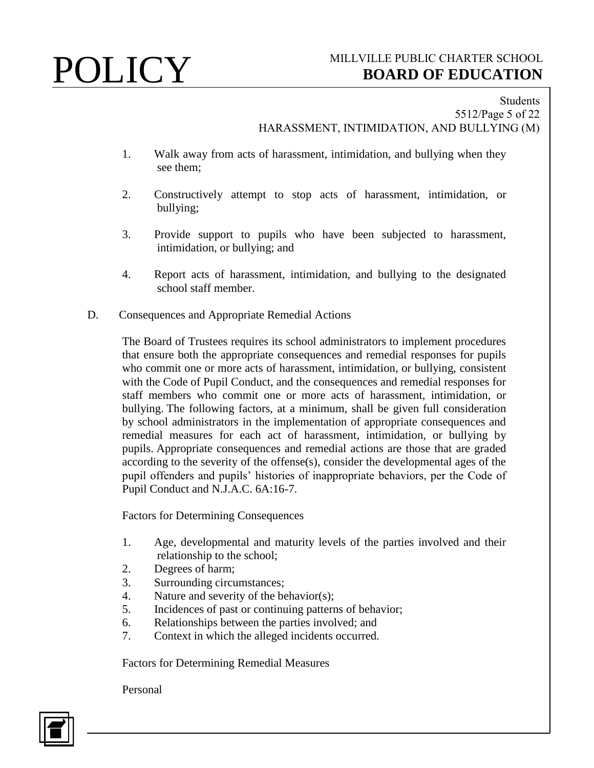## Students 5512/Page 5 of 22 HARASSMENT, INTIMIDATION, AND BULLYING (M)

- 1. Walk away from acts of harassment, intimidation, and bullying when they see them;
- 2. Constructively attempt to stop acts of harassment, intimidation, or bullying;
- 3. Provide support to pupils who have been subjected to harassment, intimidation, or bullying; and
- 4. Report acts of harassment, intimidation, and bullying to the designated school staff member.
- D. Consequences and Appropriate Remedial Actions

The Board of Trustees requires its school administrators to implement procedures that ensure both the appropriate consequences and remedial responses for pupils who commit one or more acts of harassment, intimidation, or bullying, consistent with the Code of Pupil Conduct, and the consequences and remedial responses for staff members who commit one or more acts of harassment, intimidation, or bullying. The following factors, at a minimum, shall be given full consideration by school administrators in the implementation of appropriate consequences and remedial measures for each act of harassment, intimidation, or bullying by pupils. Appropriate consequences and remedial actions are those that are graded according to the severity of the offense(s), consider the developmental ages of the pupil offenders and pupils' histories of inappropriate behaviors, per the Code of Pupil Conduct and N.J.A.C. 6A:16-7.

Factors for Determining Consequences

- 1. Age, developmental and maturity levels of the parties involved and their relationship to the school;
- 2. Degrees of harm;
- 3. Surrounding circumstances;
- 4. Nature and severity of the behavior(s);
- 5. Incidences of past or continuing patterns of behavior;
- 6. Relationships between the parties involved; and
- 7. Context in which the alleged incidents occurred.

Factors for Determining Remedial Measures

Personal

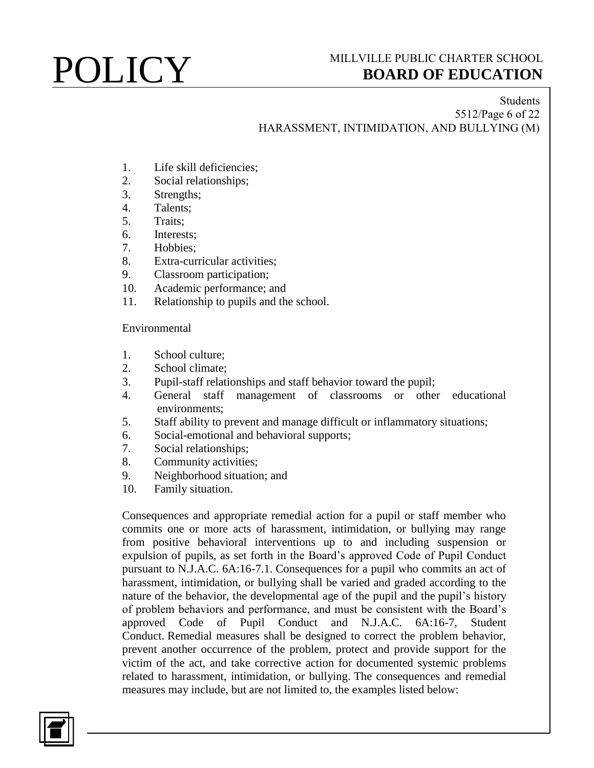## Students 5512/Page 6 of 22 HARASSMENT, INTIMIDATION, AND BULLYING (M)

- 1. Life skill deficiencies;
- 2. Social relationships;
- 3. Strengths;
- 4. Talents;
- 5. Traits;
- 6. Interests;
- 7. Hobbies;
- 8. Extra-curricular activities;
- 9. Classroom participation;
- 10. Academic performance; and
- 11. Relationship to pupils and the school.

Environmental

- 1. School culture;
- 2. School climate;
- 3. Pupil-staff relationships and staff behavior toward the pupil;
- 4. General staff management of classrooms or other educational environments;
- 5. Staff ability to prevent and manage difficult or inflammatory situations;
- 6. Social-emotional and behavioral supports;
- 7. Social relationships;
- 8. Community activities;
- 9. Neighborhood situation; and
- 10. Family situation.

Consequences and appropriate remedial action for a pupil or staff member who commits one or more acts of harassment, intimidation, or bullying may range from positive behavioral interventions up to and including suspension or expulsion of pupils, as set forth in the Board's approved Code of Pupil Conduct pursuant to N.J.A.C. 6A:16-7.1. Consequences for a pupil who commits an act of harassment, intimidation, or bullying shall be varied and graded according to the nature of the behavior, the developmental age of the pupil and the pupil's history of problem behaviors and performance, and must be consistent with the Board's approved Code of Pupil Conduct and N.J.A.C. 6A:16-7, Student Conduct. Remedial measures shall be designed to correct the problem behavior, prevent another occurrence of the problem, protect and provide support for the victim of the act, and take corrective action for documented systemic problems related to harassment, intimidation, or bullying. The consequences and remedial measures may include, but are not limited to, the examples listed below:

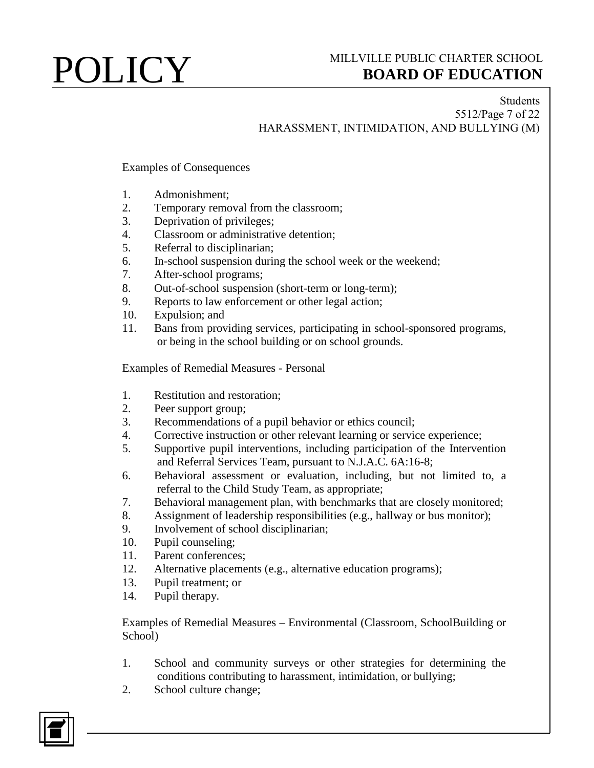## Students 5512/Page 7 of 22 HARASSMENT, INTIMIDATION, AND BULLYING (M)

Examples of Consequences

- 1. Admonishment;
- 2. Temporary removal from the classroom;
- 3. Deprivation of privileges;
- 4. Classroom or administrative detention;
- 5. Referral to disciplinarian;
- 6. In-school suspension during the school week or the weekend;
- 7. After-school programs;
- 8. Out-of-school suspension (short-term or long-term);
- 9. Reports to law enforcement or other legal action;
- 10. Expulsion; and
- 11. Bans from providing services, participating in school-sponsored programs, or being in the school building or on school grounds.

Examples of Remedial Measures - Personal

- 1. Restitution and restoration;
- 2. Peer support group;
- 3. Recommendations of a pupil behavior or ethics council;
- 4. Corrective instruction or other relevant learning or service experience;
- 5. Supportive pupil interventions, including participation of the Intervention and Referral Services Team, pursuant to N.J.A.C. 6A:16-8;
- 6. Behavioral assessment or evaluation, including, but not limited to, a referral to the Child Study Team, as appropriate;
- 7. Behavioral management plan, with benchmarks that are closely monitored;
- 8. Assignment of leadership responsibilities (e.g., hallway or bus monitor);
- 9. Involvement of school disciplinarian;
- 10. Pupil counseling;
- 11. Parent conferences;
- 12. Alternative placements (e.g., alternative education programs);
- 13. Pupil treatment; or
- 14. Pupil therapy.

Examples of Remedial Measures – Environmental (Classroom, SchoolBuilding or School)

- 1. School and community surveys or other strategies for determining the conditions contributing to harassment, intimidation, or bullying;
- 2. School culture change;

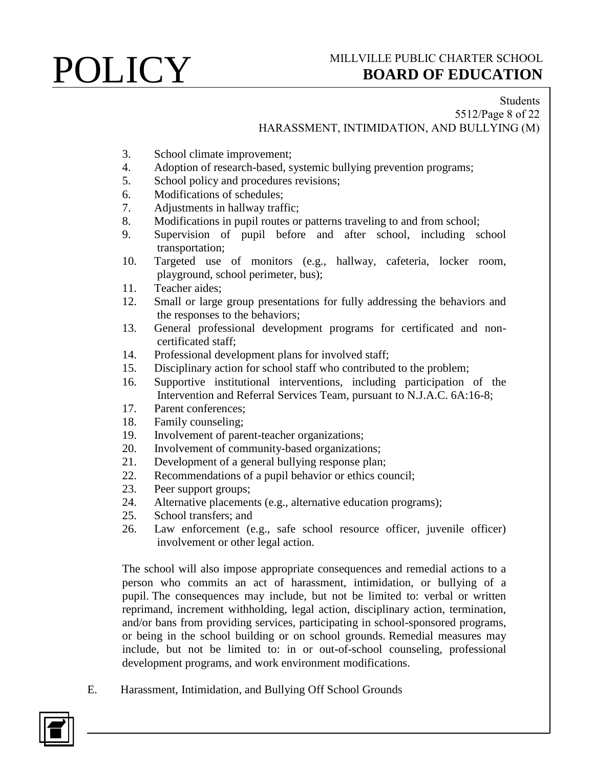## Students 5512/Page 8 of 22 HARASSMENT, INTIMIDATION, AND BULLYING (M)

- 3. School climate improvement;
- 4. Adoption of research-based, systemic bullying prevention programs;
- 5. School policy and procedures revisions;
- 6. Modifications of schedules;
- 7. Adjustments in hallway traffic;
- 8. Modifications in pupil routes or patterns traveling to and from school;
- 9. Supervision of pupil before and after school, including school transportation;
- 10. Targeted use of monitors (e.g., hallway, cafeteria, locker room, playground, school perimeter, bus);
- 11. Teacher aides;
- 12. Small or large group presentations for fully addressing the behaviors and the responses to the behaviors;
- 13. General professional development programs for certificated and noncertificated staff;
- 14. Professional development plans for involved staff;
- 15. Disciplinary action for school staff who contributed to the problem;
- 16. Supportive institutional interventions, including participation of the Intervention and Referral Services Team, pursuant to N.J.A.C. 6A:16-8;
- 17. Parent conferences;
- 18. Family counseling;
- 19. Involvement of parent-teacher organizations;
- 20. Involvement of community-based organizations;
- 21. Development of a general bullying response plan;
- 22. Recommendations of a pupil behavior or ethics council;
- 23. Peer support groups;
- 24. Alternative placements (e.g., alternative education programs);
- 25. School transfers; and
- 26. Law enforcement (e.g., safe school resource officer, juvenile officer) involvement or other legal action.

The school will also impose appropriate consequences and remedial actions to a person who commits an act of harassment, intimidation, or bullying of a pupil. The consequences may include, but not be limited to: verbal or written reprimand, increment withholding, legal action, disciplinary action, termination, and/or bans from providing services, participating in school-sponsored programs, or being in the school building or on school grounds. Remedial measures may include, but not be limited to: in or out-of-school counseling, professional development programs, and work environment modifications.

E. Harassment, Intimidation, and Bullying Off School Grounds

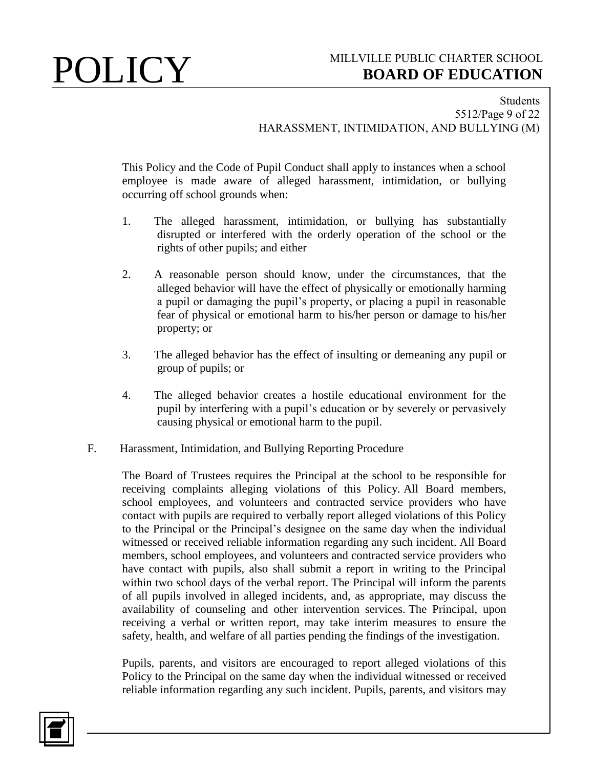### Students 5512/Page 9 of 22 HARASSMENT, INTIMIDATION, AND BULLYING (M)

This Policy and the Code of Pupil Conduct shall apply to instances when a school employee is made aware of alleged harassment, intimidation, or bullying occurring off school grounds when:

- 1. The alleged harassment, intimidation, or bullying has substantially disrupted or interfered with the orderly operation of the school or the rights of other pupils; and either
- 2. A reasonable person should know, under the circumstances, that the alleged behavior will have the effect of physically or emotionally harming a pupil or damaging the pupil's property, or placing a pupil in reasonable fear of physical or emotional harm to his/her person or damage to his/her property; or
- 3. The alleged behavior has the effect of insulting or demeaning any pupil or group of pupils; or
- 4. The alleged behavior creates a hostile educational environment for the pupil by interfering with a pupil's education or by severely or pervasively causing physical or emotional harm to the pupil.
- F. Harassment, Intimidation, and Bullying Reporting Procedure

The Board of Trustees requires the Principal at the school to be responsible for receiving complaints alleging violations of this Policy. All Board members, school employees, and volunteers and contracted service providers who have contact with pupils are required to verbally report alleged violations of this Policy to the Principal or the Principal's designee on the same day when the individual witnessed or received reliable information regarding any such incident. All Board members, school employees, and volunteers and contracted service providers who have contact with pupils, also shall submit a report in writing to the Principal within two school days of the verbal report. The Principal will inform the parents of all pupils involved in alleged incidents, and, as appropriate, may discuss the availability of counseling and other intervention services. The Principal, upon receiving a verbal or written report, may take interim measures to ensure the safety, health, and welfare of all parties pending the findings of the investigation.

Pupils, parents, and visitors are encouraged to report alleged violations of this Policy to the Principal on the same day when the individual witnessed or received reliable information regarding any such incident. Pupils, parents, and visitors may

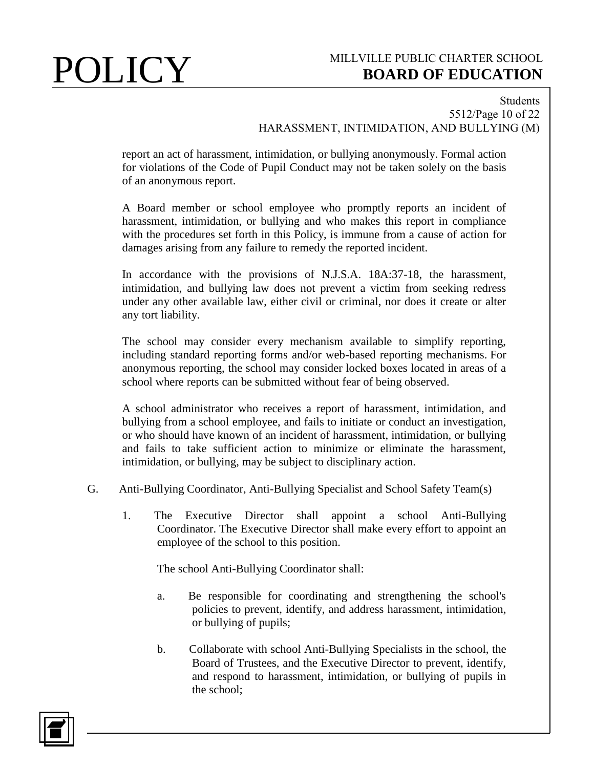### Students 5512/Page 10 of 22 HARASSMENT, INTIMIDATION, AND BULLYING (M)

report an act of harassment, intimidation, or bullying anonymously. Formal action for violations of the Code of Pupil Conduct may not be taken solely on the basis of an anonymous report.

A Board member or school employee who promptly reports an incident of harassment, intimidation, or bullying and who makes this report in compliance with the procedures set forth in this Policy, is immune from a cause of action for damages arising from any failure to remedy the reported incident.

In accordance with the provisions of N.J.S.A. 18A:37-18, the harassment, intimidation, and bullying law does not prevent a victim from seeking redress under any other available law, either civil or criminal, nor does it create or alter any tort liability.

The school may consider every mechanism available to simplify reporting, including standard reporting forms and/or web-based reporting mechanisms. For anonymous reporting, the school may consider locked boxes located in areas of a school where reports can be submitted without fear of being observed.

A school administrator who receives a report of harassment, intimidation, and bullying from a school employee, and fails to initiate or conduct an investigation, or who should have known of an incident of harassment, intimidation, or bullying and fails to take sufficient action to minimize or eliminate the harassment, intimidation, or bullying, may be subject to disciplinary action.

- G. Anti-Bullying Coordinator, Anti-Bullying Specialist and School Safety Team(s)
	- 1. The Executive Director shall appoint a school Anti-Bullying Coordinator. The Executive Director shall make every effort to appoint an employee of the school to this position.

The school Anti-Bullying Coordinator shall:

- a. Be responsible for coordinating and strengthening the school's policies to prevent, identify, and address harassment, intimidation, or bullying of pupils;
- b. Collaborate with school Anti-Bullying Specialists in the school, the Board of Trustees, and the Executive Director to prevent, identify, and respond to harassment, intimidation, or bullying of pupils in the school;

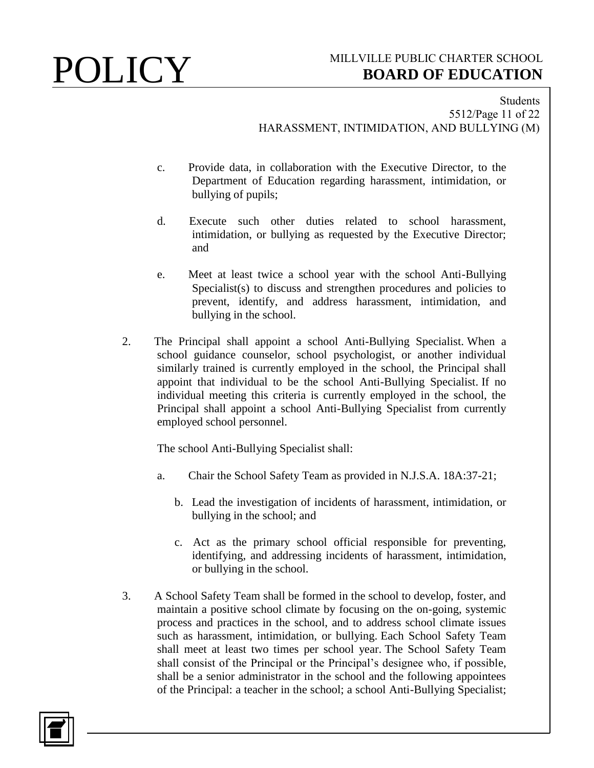Students 5512/Page 11 of 22 HARASSMENT, INTIMIDATION, AND BULLYING (M)

- c. Provide data, in collaboration with the Executive Director, to the Department of Education regarding harassment, intimidation, or bullying of pupils;
- d. Execute such other duties related to school harassment, intimidation, or bullying as requested by the Executive Director; and
- e. Meet at least twice a school year with the school Anti-Bullying Specialist(s) to discuss and strengthen procedures and policies to prevent, identify, and address harassment, intimidation, and bullying in the school.
- 2. The Principal shall appoint a school Anti-Bullying Specialist. When a school guidance counselor, school psychologist, or another individual similarly trained is currently employed in the school, the Principal shall appoint that individual to be the school Anti-Bullying Specialist. If no individual meeting this criteria is currently employed in the school, the Principal shall appoint a school Anti-Bullying Specialist from currently employed school personnel.

The school Anti-Bullying Specialist shall:

- a. Chair the School Safety Team as provided in N.J.S.A. 18A:37-21;
	- b. Lead the investigation of incidents of harassment, intimidation, or bullying in the school; and
	- c. Act as the primary school official responsible for preventing, identifying, and addressing incidents of harassment, intimidation, or bullying in the school.
- 3. A School Safety Team shall be formed in the school to develop, foster, and maintain a positive school climate by focusing on the on-going, systemic process and practices in the school, and to address school climate issues such as harassment, intimidation, or bullying. Each School Safety Team shall meet at least two times per school year. The School Safety Team shall consist of the Principal or the Principal's designee who, if possible, shall be a senior administrator in the school and the following appointees of the Principal: a teacher in the school; a school Anti-Bullying Specialist;

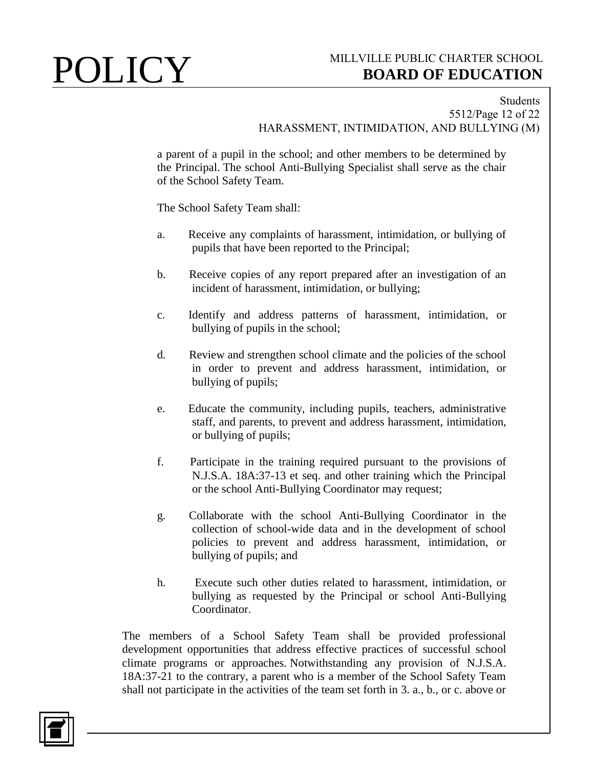### Students 5512/Page 12 of 22 HARASSMENT, INTIMIDATION, AND BULLYING (M)

a parent of a pupil in the school; and other members to be determined by the Principal. The school Anti-Bullying Specialist shall serve as the chair of the School Safety Team.

The School Safety Team shall:

- a. Receive any complaints of harassment, intimidation, or bullying of pupils that have been reported to the Principal;
- b. Receive copies of any report prepared after an investigation of an incident of harassment, intimidation, or bullying;
- c. Identify and address patterns of harassment, intimidation, or bullying of pupils in the school;
- d. Review and strengthen school climate and the policies of the school in order to prevent and address harassment, intimidation, or bullying of pupils;
- e. Educate the community, including pupils, teachers, administrative staff, and parents, to prevent and address harassment, intimidation, or bullying of pupils;
- f. Participate in the training required pursuant to the provisions of N.J.S.A. 18A:37-13 et seq. and other training which the Principal or the school Anti-Bullying Coordinator may request;
- g. Collaborate with the school Anti-Bullying Coordinator in the collection of school-wide data and in the development of school policies to prevent and address harassment, intimidation, or bullying of pupils; and
- h. Execute such other duties related to harassment, intimidation, or bullying as requested by the Principal or school Anti-Bullying Coordinator.

The members of a School Safety Team shall be provided professional development opportunities that address effective practices of successful school climate programs or approaches. Notwithstanding any provision of N.J.S.A. 18A:37-21 to the contrary, a parent who is a member of the School Safety Team shall not participate in the activities of the team set forth in 3. a., b., or c. above or

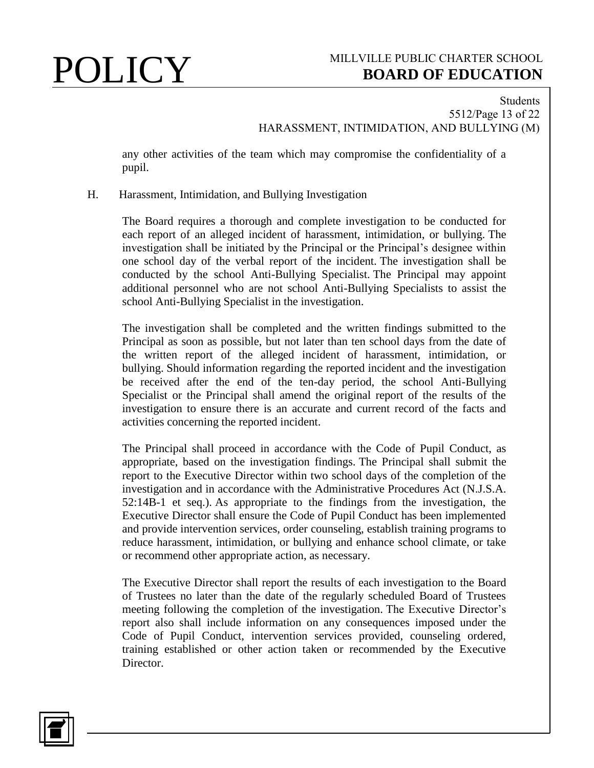## Students 5512/Page 13 of 22 HARASSMENT, INTIMIDATION, AND BULLYING (M)

any other activities of the team which may compromise the confidentiality of a pupil.

## H. Harassment, Intimidation, and Bullying Investigation

The Board requires a thorough and complete investigation to be conducted for each report of an alleged incident of harassment, intimidation, or bullying. The investigation shall be initiated by the Principal or the Principal's designee within one school day of the verbal report of the incident. The investigation shall be conducted by the school Anti-Bullying Specialist. The Principal may appoint additional personnel who are not school Anti-Bullying Specialists to assist the school Anti-Bullying Specialist in the investigation.

The investigation shall be completed and the written findings submitted to the Principal as soon as possible, but not later than ten school days from the date of the written report of the alleged incident of harassment, intimidation, or bullying. Should information regarding the reported incident and the investigation be received after the end of the ten-day period, the school Anti-Bullying Specialist or the Principal shall amend the original report of the results of the investigation to ensure there is an accurate and current record of the facts and activities concerning the reported incident.

The Principal shall proceed in accordance with the Code of Pupil Conduct, as appropriate, based on the investigation findings. The Principal shall submit the report to the Executive Director within two school days of the completion of the investigation and in accordance with the Administrative Procedures Act (N.J.S.A. 52:14B-1 et seq.). As appropriate to the findings from the investigation, the Executive Director shall ensure the Code of Pupil Conduct has been implemented and provide intervention services, order counseling, establish training programs to reduce harassment, intimidation, or bullying and enhance school climate, or take or recommend other appropriate action, as necessary.

The Executive Director shall report the results of each investigation to the Board of Trustees no later than the date of the regularly scheduled Board of Trustees meeting following the completion of the investigation. The Executive Director's report also shall include information on any consequences imposed under the Code of Pupil Conduct, intervention services provided, counseling ordered, training established or other action taken or recommended by the Executive Director.

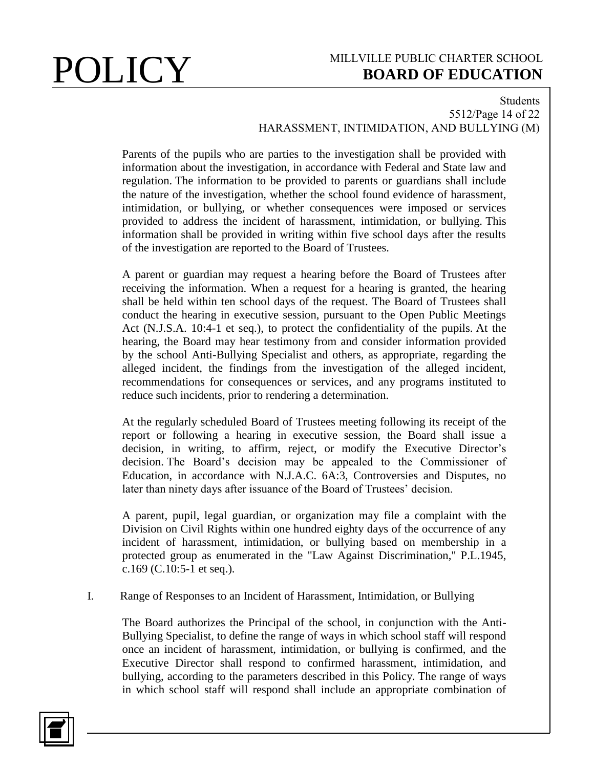## Students 5512/Page 14 of 22 HARASSMENT, INTIMIDATION, AND BULLYING (M)

Parents of the pupils who are parties to the investigation shall be provided with information about the investigation, in accordance with Federal and State law and regulation. The information to be provided to parents or guardians shall include the nature of the investigation, whether the school found evidence of harassment, intimidation, or bullying, or whether consequences were imposed or services provided to address the incident of harassment, intimidation, or bullying. This information shall be provided in writing within five school days after the results of the investigation are reported to the Board of Trustees.

A parent or guardian may request a hearing before the Board of Trustees after receiving the information. When a request for a hearing is granted, the hearing shall be held within ten school days of the request. The Board of Trustees shall conduct the hearing in executive session, pursuant to the Open Public Meetings Act (N.J.S.A. 10:4-1 et seq.), to protect the confidentiality of the pupils. At the hearing, the Board may hear testimony from and consider information provided by the school Anti-Bullying Specialist and others, as appropriate, regarding the alleged incident, the findings from the investigation of the alleged incident, recommendations for consequences or services, and any programs instituted to reduce such incidents, prior to rendering a determination.

At the regularly scheduled Board of Trustees meeting following its receipt of the report or following a hearing in executive session, the Board shall issue a decision, in writing, to affirm, reject, or modify the Executive Director's decision. The Board's decision may be appealed to the Commissioner of Education, in accordance with N.J.A.C. 6A:3, Controversies and Disputes, no later than ninety days after issuance of the Board of Trustees' decision.

A parent, pupil, legal guardian, or organization may file a complaint with the Division on Civil Rights within one hundred eighty days of the occurrence of any incident of harassment, intimidation, or bullying based on membership in a protected group as enumerated in the "Law Against Discrimination," P.L.1945, c.169 (C.10:5-1 et seq.).

## I. Range of Responses to an Incident of Harassment, Intimidation, or Bullying

The Board authorizes the Principal of the school, in conjunction with the Anti-Bullying Specialist, to define the range of ways in which school staff will respond once an incident of harassment, intimidation, or bullying is confirmed, and the Executive Director shall respond to confirmed harassment, intimidation, and bullying, according to the parameters described in this Policy. The range of ways in which school staff will respond shall include an appropriate combination of

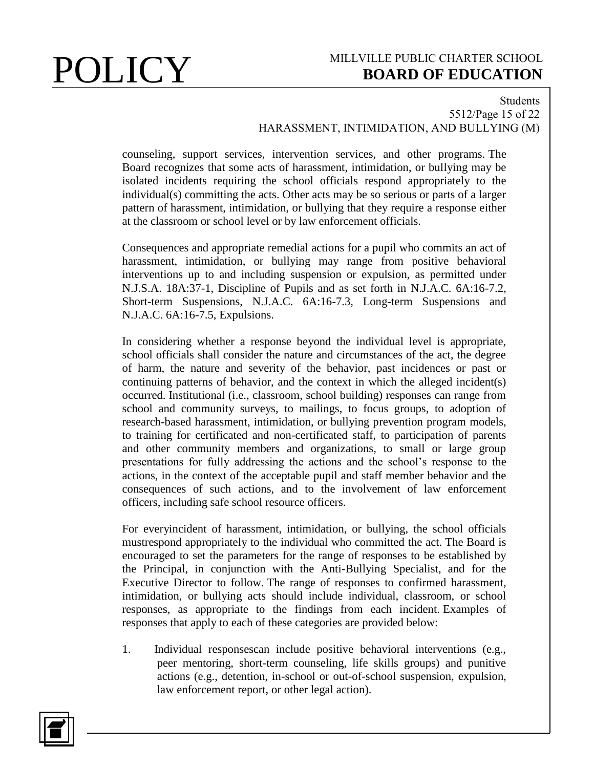### Students 5512/Page 15 of 22 HARASSMENT, INTIMIDATION, AND BULLYING (M)

counseling, support services, intervention services, and other programs. The Board recognizes that some acts of harassment, intimidation, or bullying may be isolated incidents requiring the school officials respond appropriately to the individual(s) committing the acts. Other acts may be so serious or parts of a larger pattern of harassment, intimidation, or bullying that they require a response either at the classroom or school level or by law enforcement officials.

Consequences and appropriate remedial actions for a pupil who commits an act of harassment, intimidation, or bullying may range from positive behavioral interventions up to and including suspension or expulsion, as permitted under N.J.S.A. 18A:37-1, Discipline of Pupils and as set forth in N.J.A.C. 6A:16-7.2, Short-term Suspensions, N.J.A.C. 6A:16-7.3, Long-term Suspensions and N.J.A.C. 6A:16-7.5, Expulsions.

In considering whether a response beyond the individual level is appropriate, school officials shall consider the nature and circumstances of the act, the degree of harm, the nature and severity of the behavior, past incidences or past or continuing patterns of behavior, and the context in which the alleged incident(s) occurred. Institutional (i.e., classroom, school building) responses can range from school and community surveys, to mailings, to focus groups, to adoption of research-based harassment, intimidation, or bullying prevention program models, to training for certificated and non-certificated staff, to participation of parents and other community members and organizations, to small or large group presentations for fully addressing the actions and the school's response to the actions, in the context of the acceptable pupil and staff member behavior and the consequences of such actions, and to the involvement of law enforcement officers, including safe school resource officers.

For everyincident of harassment, intimidation, or bullying, the school officials mustrespond appropriately to the individual who committed the act. The Board is encouraged to set the parameters for the range of responses to be established by the Principal, in conjunction with the Anti-Bullying Specialist, and for the Executive Director to follow. The range of responses to confirmed harassment, intimidation, or bullying acts should include individual, classroom, or school responses, as appropriate to the findings from each incident. Examples of responses that apply to each of these categories are provided below:

1. Individual responsescan include positive behavioral interventions (e.g., peer mentoring, short-term counseling, life skills groups) and punitive actions (e.g., detention, in-school or out-of-school suspension, expulsion, law enforcement report, or other legal action).

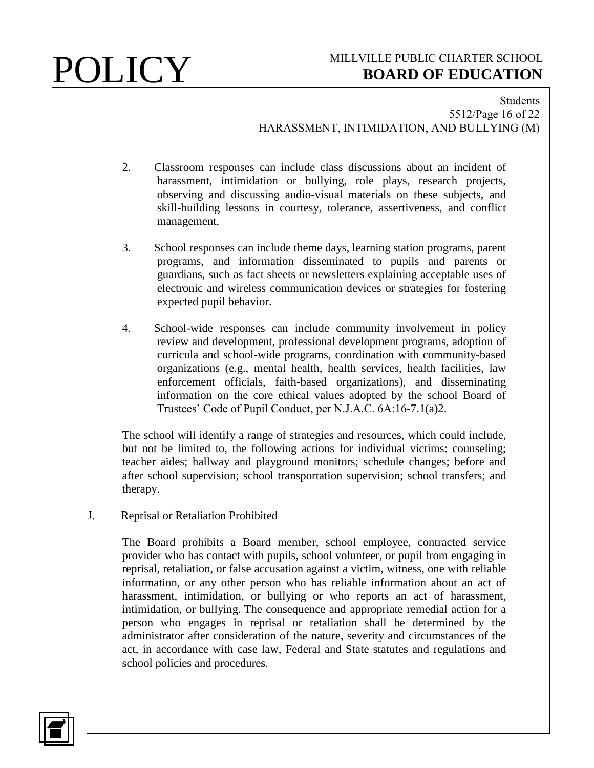### Students 5512/Page 16 of 22 HARASSMENT, INTIMIDATION, AND BULLYING (M)

- 2. Classroom responses can include class discussions about an incident of harassment, intimidation or bullying, role plays, research projects, observing and discussing audio-visual materials on these subjects, and skill-building lessons in courtesy, tolerance, assertiveness, and conflict management.
- 3. School responses can include theme days, learning station programs, parent programs, and information disseminated to pupils and parents or guardians, such as fact sheets or newsletters explaining acceptable uses of electronic and wireless communication devices or strategies for fostering expected pupil behavior.
- 4. School-wide responses can include community involvement in policy review and development, professional development programs, adoption of curricula and school-wide programs, coordination with community-based organizations (e.g., mental health, health services, health facilities, law enforcement officials, faith-based organizations), and disseminating information on the core ethical values adopted by the school Board of Trustees' Code of Pupil Conduct, per N.J.A.C. 6A:16-7.1(a)2.

The school will identify a range of strategies and resources, which could include, but not be limited to, the following actions for individual victims: counseling; teacher aides; hallway and playground monitors; schedule changes; before and after school supervision; school transportation supervision; school transfers; and therapy.

J. Reprisal or Retaliation Prohibited

The Board prohibits a Board member, school employee, contracted service provider who has contact with pupils, school volunteer, or pupil from engaging in reprisal, retaliation, or false accusation against a victim, witness, one with reliable information, or any other person who has reliable information about an act of harassment, intimidation, or bullying or who reports an act of harassment, intimidation, or bullying. The consequence and appropriate remedial action for a person who engages in reprisal or retaliation shall be determined by the administrator after consideration of the nature, severity and circumstances of the act, in accordance with case law, Federal and State statutes and regulations and school policies and procedures.

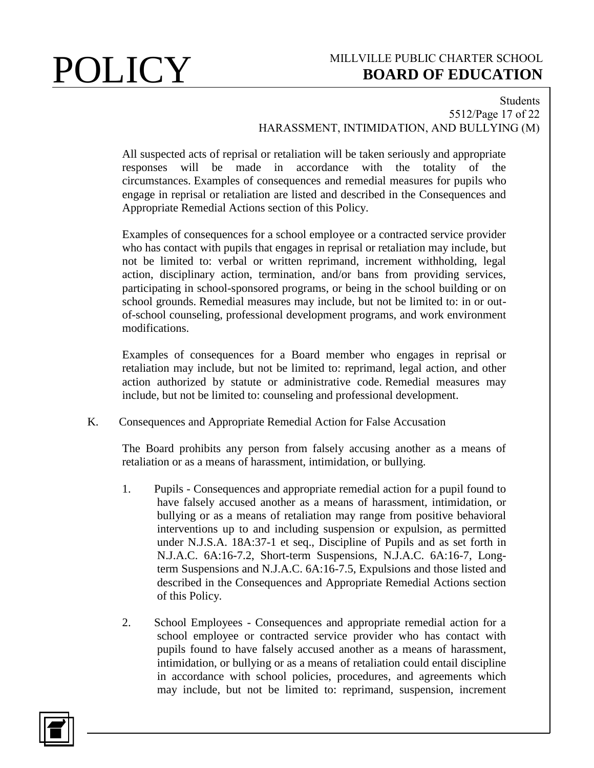### Students 5512/Page 17 of 22 HARASSMENT, INTIMIDATION, AND BULLYING (M)

All suspected acts of reprisal or retaliation will be taken seriously and appropriate responses will be made in accordance with the totality of the circumstances. Examples of consequences and remedial measures for pupils who engage in reprisal or retaliation are listed and described in the Consequences and Appropriate Remedial Actions section of this Policy.

Examples of consequences for a school employee or a contracted service provider who has contact with pupils that engages in reprisal or retaliation may include, but not be limited to: verbal or written reprimand, increment withholding, legal action, disciplinary action, termination, and/or bans from providing services, participating in school-sponsored programs, or being in the school building or on school grounds. Remedial measures may include, but not be limited to: in or outof-school counseling, professional development programs, and work environment modifications.

Examples of consequences for a Board member who engages in reprisal or retaliation may include, but not be limited to: reprimand, legal action, and other action authorized by statute or administrative code. Remedial measures may include, but not be limited to: counseling and professional development.

K. Consequences and Appropriate Remedial Action for False Accusation

The Board prohibits any person from falsely accusing another as a means of retaliation or as a means of harassment, intimidation, or bullying.

- 1. Pupils Consequences and appropriate remedial action for a pupil found to have falsely accused another as a means of harassment, intimidation, or bullying or as a means of retaliation may range from positive behavioral interventions up to and including suspension or expulsion, as permitted under N.J.S.A. 18A:37-1 et seq., Discipline of Pupils and as set forth in N.J.A.C. 6A:16-7.2, Short-term Suspensions, N.J.A.C. 6A:16-7, Longterm Suspensions and N.J.A.C. 6A:16-7.5, Expulsions and those listed and described in the Consequences and Appropriate Remedial Actions section of this Policy.
- 2. School Employees Consequences and appropriate remedial action for a school employee or contracted service provider who has contact with pupils found to have falsely accused another as a means of harassment, intimidation, or bullying or as a means of retaliation could entail discipline in accordance with school policies, procedures, and agreements which may include, but not be limited to: reprimand, suspension, increment

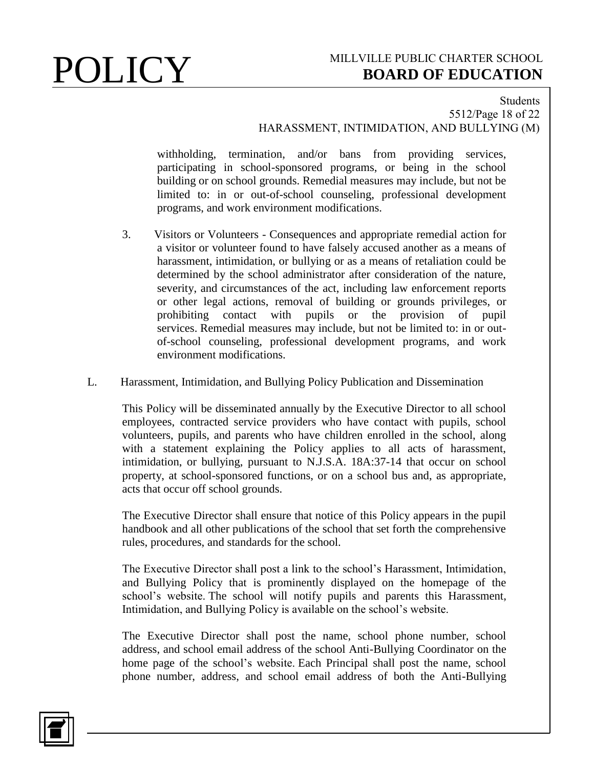### Students 5512/Page 18 of 22 HARASSMENT, INTIMIDATION, AND BULLYING (M)

withholding, termination, and/or bans from providing services, participating in school-sponsored programs, or being in the school building or on school grounds. Remedial measures may include, but not be limited to: in or out-of-school counseling, professional development programs, and work environment modifications.

- 3. Visitors or Volunteers Consequences and appropriate remedial action for a visitor or volunteer found to have falsely accused another as a means of harassment, intimidation, or bullying or as a means of retaliation could be determined by the school administrator after consideration of the nature, severity, and circumstances of the act, including law enforcement reports or other legal actions, removal of building or grounds privileges, or prohibiting contact with pupils or the provision of pupil services. Remedial measures may include, but not be limited to: in or outof-school counseling, professional development programs, and work environment modifications.
- L. Harassment, Intimidation, and Bullying Policy Publication and Dissemination

This Policy will be disseminated annually by the Executive Director to all school employees, contracted service providers who have contact with pupils, school volunteers, pupils, and parents who have children enrolled in the school, along with a statement explaining the Policy applies to all acts of harassment, intimidation, or bullying, pursuant to N.J.S.A. 18A:37-14 that occur on school property, at school-sponsored functions, or on a school bus and, as appropriate, acts that occur off school grounds.

The Executive Director shall ensure that notice of this Policy appears in the pupil handbook and all other publications of the school that set forth the comprehensive rules, procedures, and standards for the school.

The Executive Director shall post a link to the school's Harassment, Intimidation, and Bullying Policy that is prominently displayed on the homepage of the school's website. The school will notify pupils and parents this Harassment, Intimidation, and Bullying Policy is available on the school's website.

The Executive Director shall post the name, school phone number, school address, and school email address of the school Anti-Bullying Coordinator on the home page of the school's website. Each Principal shall post the name, school phone number, address, and school email address of both the Anti-Bullying

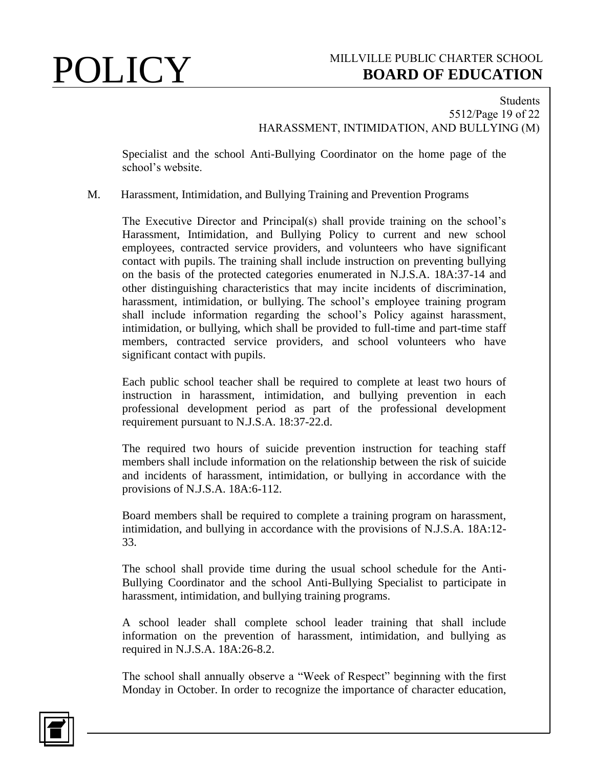## Students 5512/Page 19 of 22 HARASSMENT, INTIMIDATION, AND BULLYING (M)

Specialist and the school Anti-Bullying Coordinator on the home page of the school's website.

## M. Harassment, Intimidation, and Bullying Training and Prevention Programs

The Executive Director and Principal(s) shall provide training on the school's Harassment, Intimidation, and Bullying Policy to current and new school employees, contracted service providers, and volunteers who have significant contact with pupils. The training shall include instruction on preventing bullying on the basis of the protected categories enumerated in N.J.S.A. 18A:37-14 and other distinguishing characteristics that may incite incidents of discrimination, harassment, intimidation, or bullying. The school's employee training program shall include information regarding the school's Policy against harassment, intimidation, or bullying, which shall be provided to full-time and part-time staff members, contracted service providers, and school volunteers who have significant contact with pupils.

Each public school teacher shall be required to complete at least two hours of instruction in harassment, intimidation, and bullying prevention in each professional development period as part of the professional development requirement pursuant to N.J.S.A. 18:37-22.d.

The required two hours of suicide prevention instruction for teaching staff members shall include information on the relationship between the risk of suicide and incidents of harassment, intimidation, or bullying in accordance with the provisions of N.J.S.A. 18A:6-112.

Board members shall be required to complete a training program on harassment, intimidation, and bullying in accordance with the provisions of N.J.S.A. 18A:12- 33.

The school shall provide time during the usual school schedule for the Anti-Bullying Coordinator and the school Anti-Bullying Specialist to participate in harassment, intimidation, and bullying training programs.

A school leader shall complete school leader training that shall include information on the prevention of harassment, intimidation, and bullying as required in N.J.S.A. 18A:26-8.2.

The school shall annually observe a "Week of Respect" beginning with the first Monday in October. In order to recognize the importance of character education,

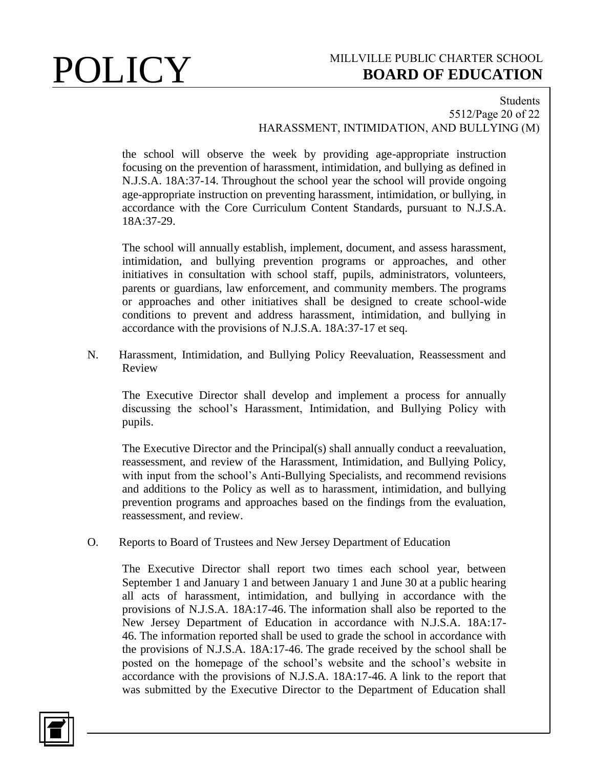### Students 5512/Page 20 of 22 HARASSMENT, INTIMIDATION, AND BULLYING (M)

the school will observe the week by providing age-appropriate instruction focusing on the prevention of harassment, intimidation, and bullying as defined in N.J.S.A. 18A:37-14. Throughout the school year the school will provide ongoing age-appropriate instruction on preventing harassment, intimidation, or bullying, in accordance with the Core Curriculum Content Standards, pursuant to N.J.S.A. 18A:37-29.

The school will annually establish, implement, document, and assess harassment, intimidation, and bullying prevention programs or approaches, and other initiatives in consultation with school staff, pupils, administrators, volunteers, parents or guardians, law enforcement, and community members. The programs or approaches and other initiatives shall be designed to create school-wide conditions to prevent and address harassment, intimidation, and bullying in accordance with the provisions of N.J.S.A. 18A:37-17 et seq.

N. Harassment, Intimidation, and Bullying Policy Reevaluation, Reassessment and Review

The Executive Director shall develop and implement a process for annually discussing the school's Harassment, Intimidation, and Bullying Policy with pupils.

The Executive Director and the Principal(s) shall annually conduct a reevaluation, reassessment, and review of the Harassment, Intimidation, and Bullying Policy, with input from the school's Anti-Bullying Specialists, and recommend revisions and additions to the Policy as well as to harassment, intimidation, and bullying prevention programs and approaches based on the findings from the evaluation, reassessment, and review.

O. Reports to Board of Trustees and New Jersey Department of Education

The Executive Director shall report two times each school year, between September 1 and January 1 and between January 1 and June 30 at a public hearing all acts of harassment, intimidation, and bullying in accordance with the provisions of N.J.S.A. 18A:17-46. The information shall also be reported to the New Jersey Department of Education in accordance with N.J.S.A. 18A:17- 46. The information reported shall be used to grade the school in accordance with the provisions of N.J.S.A. 18A:17-46. The grade received by the school shall be posted on the homepage of the school's website and the school's website in accordance with the provisions of N.J.S.A. 18A:17-46. A link to the report that was submitted by the Executive Director to the Department of Education shall

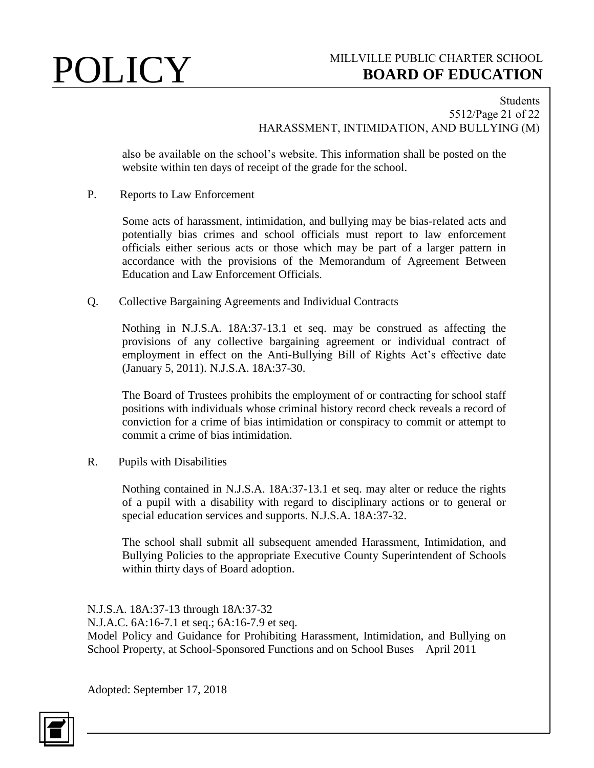## Students 5512/Page 21 of 22 HARASSMENT, INTIMIDATION, AND BULLYING (M)

also be available on the school's website. This information shall be posted on the website within ten days of receipt of the grade for the school.

P. Reports to Law Enforcement

Some acts of harassment, intimidation, and bullying may be bias-related acts and potentially bias crimes and school officials must report to law enforcement officials either serious acts or those which may be part of a larger pattern in accordance with the provisions of the Memorandum of Agreement Between Education and Law Enforcement Officials.

Q. Collective Bargaining Agreements and Individual Contracts

Nothing in N.J.S.A. 18A:37-13.1 et seq. may be construed as affecting the provisions of any collective bargaining agreement or individual contract of employment in effect on the Anti-Bullying Bill of Rights Act's effective date (January 5, 2011). N.J.S.A. 18A:37-30.

The Board of Trustees prohibits the employment of or contracting for school staff positions with individuals whose criminal history record check reveals a record of conviction for a crime of bias intimidation or conspiracy to commit or attempt to commit a crime of bias intimidation.

R. Pupils with Disabilities

Nothing contained in N.J.S.A. 18A:37-13.1 et seq. may alter or reduce the rights of a pupil with a disability with regard to disciplinary actions or to general or special education services and supports. N.J.S.A. 18A:37-32.

The school shall submit all subsequent amended Harassment, Intimidation, and Bullying Policies to the appropriate Executive County Superintendent of Schools within thirty days of Board adoption.

N.J.S.A. 18A:37-13 through 18A:37-32 N.J.A.C. 6A:16-7.1 et seq.; 6A:16-7.9 et seq. Model Policy and Guidance for Prohibiting Harassment, Intimidation, and Bullying on School Property, at School-Sponsored Functions and on School Buses – April 2011

Adopted: September 17, 2018